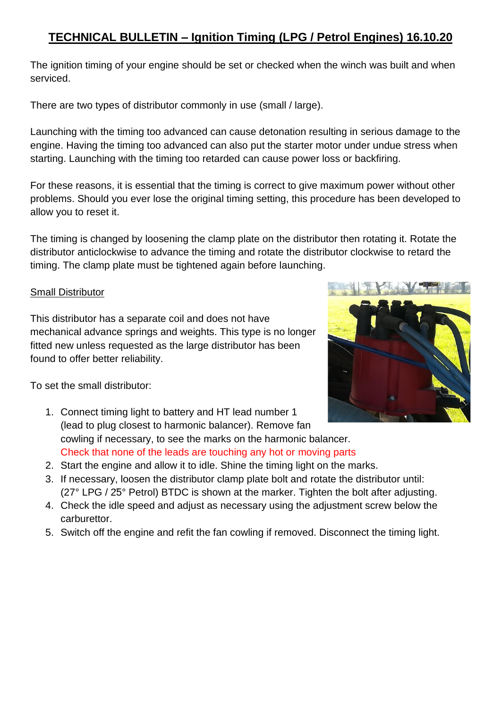## **TECHNICAL BULLETIN – Ignition Timing (LPG / Petrol Engines) 16.10.20**

The ignition timing of your engine should be set or checked when the winch was built and when serviced.

There are two types of distributor commonly in use (small / large).

Launching with the timing too advanced can cause detonation resulting in serious damage to the engine. Having the timing too advanced can also put the starter motor under undue stress when starting. Launching with the timing too retarded can cause power loss or backfiring.

For these reasons, it is essential that the timing is correct to give maximum power without other problems. Should you ever lose the original timing setting, this procedure has been developed to allow you to reset it.

The timing is changed by loosening the clamp plate on the distributor then rotating it. Rotate the distributor anticlockwise to advance the timing and rotate the distributor clockwise to retard the timing. The clamp plate must be tightened again before launching.

## Small Distributor

This distributor has a separate coil and does not have mechanical advance springs and weights. This type is no longer fitted new unless requested as the large distributor has been found to offer better reliability.



- 1. Connect timing light to battery and HT lead number 1 (lead to plug closest to harmonic balancer). Remove fan cowling if necessary, to see the marks on the harmonic balancer. Check that none of the leads are touching any hot or moving parts
- 2. Start the engine and allow it to idle. Shine the timing light on the marks.
- 3. If necessary, loosen the distributor clamp plate bolt and rotate the distributor until: (27° LPG / 25ۜ° Petrol) BTDC is shown at the marker. Tighten the bolt after adjusting.
- 4. Check the idle speed and adjust as necessary using the adjustment screw below the carburettor.
- 5. Switch off the engine and refit the fan cowling if removed. Disconnect the timing light.